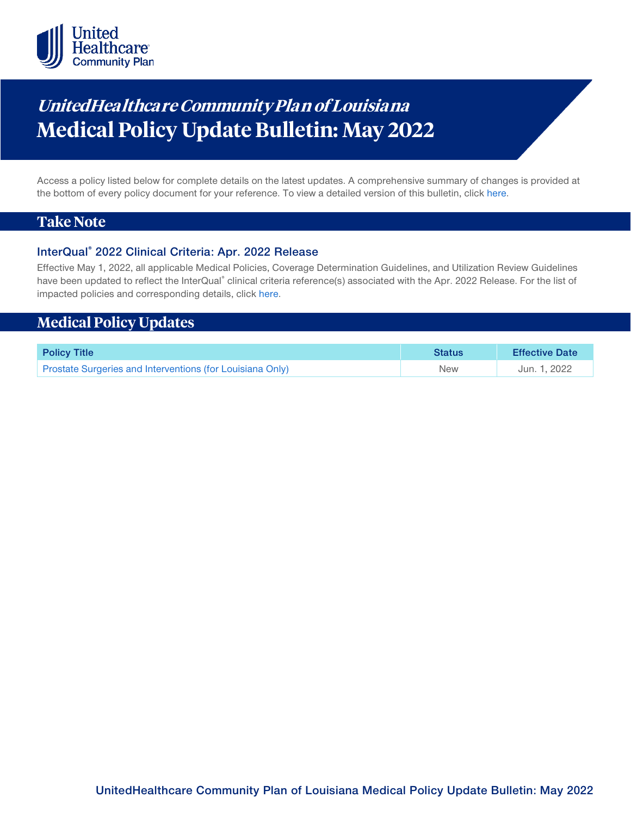

# **UnitedHealthca re Community Plan of Louisiana Medical Policy Update Bulletin: May 2022**

Access a policy listed below for complete details on the latest updates. A comprehensive summary of changes is provided at the bottom of every policy document for your reference. To view a detailed version of this bulletin, clic[k here.](https://www.uhcprovider.com/content/dam/provider/docs/public/policies/mpub-archives/comm-plan/la/community-plan-la-medical-policy-update-bulletin-may-2022-full.pdf)

## **Take Note**

#### **InterQual® 2022 Clinical Criteria: Apr. 2022 Release**

Effective May 1, 2022, all applicable Medical Policies, Coverage Determination Guidelines, and Utilization Review Guidelines have been updated to reflect the InterQual® clinical criteria reference(s) associated with the Apr. 2022 Release. For the list of impacted policies and corresponding details, click [here.](https://www.uhcprovider.com/content/dam/provider/docs/public/policies/mpub-archives/comm-plan/la/community-plan-la-medical-policy-update-bulletin-may-2022-full.pdf)

## **Medical Policy Updates**

| <b>Policy Title</b>                                       | <b>Status</b> | <b>Effective Date</b> |
|-----------------------------------------------------------|---------------|-----------------------|
| Prostate Surgeries and Interventions (for Louisiana Only) | <b>New</b>    | Jun. 1, 2022          |